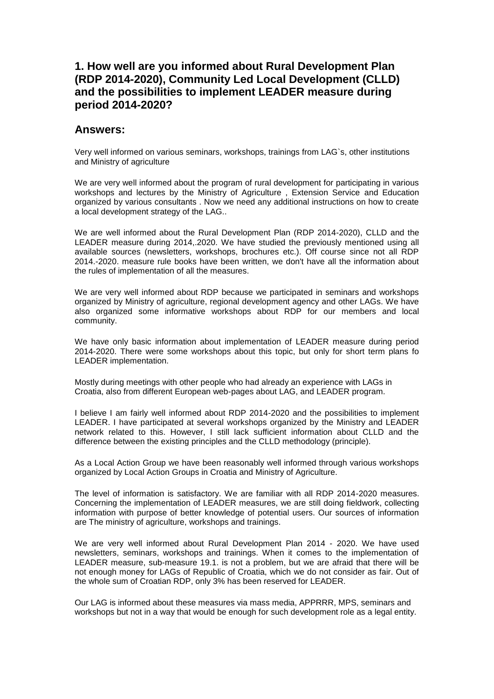# **1. How well are you informed about Rural Development Plan (RDP 2014-2020), Community Led Local Development (CLLD) and the possibilities to implement LEADER measure during period 2014-2020?**

#### **Answers:**

Very well informed on various seminars, workshops, trainings from LAG`s, other institutions and Ministry of agriculture

We are very well informed about the program of rural development for participating in various workshops and lectures by the Ministry of Agriculture , Extension Service and Education organized by various consultants . Now we need any additional instructions on how to create a local development strategy of the LAG..

We are well informed about the Rural Development Plan (RDP 2014-2020), CLLD and the LEADER measure during 2014,.2020. We have studied the previously mentioned using all available sources (newsletters, workshops, brochures etc.). Off course since not all RDP 2014.-2020. measure rule books have been written, we don't have all the information about the rules of implementation of all the measures.

We are very well informed about RDP because we participated in seminars and workshops organized by Ministry of agriculture, regional development agency and other LAGs. We have also organized some informative workshops about RDP for our members and local community.

We have only basic information about implementation of LEADER measure during period 2014-2020. There were some workshops about this topic, but only for short term plans fo LEADER implementation.

Mostly during meetings with other people who had already an experience with LAGs in Croatia, also from different European web-pages about LAG, and LEADER program.

I believe I am fairly well informed about RDP 2014-2020 and the possibilities to implement LEADER. I have participated at several workshops organized by the Ministry and LEADER network related to this. However, I still lack sufficient information about CLLD and the difference between the existing principles and the CLLD methodology (principle).

As a Local Action Group we have been reasonably well informed through various workshops organized by Local Action Groups in Croatia and Ministry of Agriculture.

The level of information is satisfactory. We are familiar with all RDP 2014-2020 measures. Concerning the implementation of LEADER measures, we are still doing fieldwork, collecting information with purpose of better knowledge of potential users. Our sources of information are The ministry of agriculture, workshops and trainings.

We are very well informed about Rural Development Plan 2014 - 2020. We have used newsletters, seminars, workshops and trainings. When it comes to the implementation of LEADER measure, sub-measure 19.1. is not a problem, but we are afraid that there will be not enough money for LAGs of Republic of Croatia, which we do not consider as fair. Out of the whole sum of Croatian RDP, only 3% has been reserved for LEADER.

Our LAG is informed about these measures via mass media, APPRRR, MPS, seminars and workshops but not in a way that would be enough for such development role as a legal entity.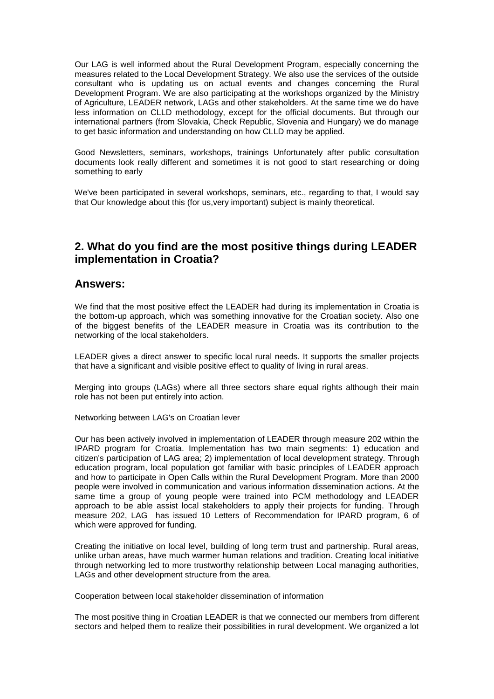Our LAG is well informed about the Rural Development Program, especially concerning the measures related to the Local Development Strategy. We also use the services of the outside consultant who is updating us on actual events and changes concerning the Rural Development Program. We are also participating at the workshops organized by the Ministry of Agriculture, LEADER network, LAGs and other stakeholders. At the same time we do have less information on CLLD methodology, except for the official documents. But through our international partners (from Slovakia, Check Republic, Slovenia and Hungary) we do manage to get basic information and understanding on how CLLD may be applied.

Good Newsletters, seminars, workshops, trainings Unfortunately after public consultation documents look really different and sometimes it is not good to start researching or doing something to early

We've been participated in several workshops, seminars, etc., regarding to that, I would say that Our knowledge about this (for us,very important) subject is mainly theoretical.

### **2. What do you find are the most positive things during LEADER implementation in Croatia?**

#### **Answers:**

We find that the most positive effect the LEADER had during its implementation in Croatia is the bottom-up approach, which was something innovative for the Croatian society. Also one of the biggest benefits of the LEADER measure in Croatia was its contribution to the networking of the local stakeholders.

LEADER gives a direct answer to specific local rural needs. It supports the smaller projects that have a significant and visible positive effect to quality of living in rural areas.

Merging into groups (LAGs) where all three sectors share equal rights although their main role has not been put entirely into action.

Networking between LAG's on Croatian lever

Our has been actively involved in implementation of LEADER through measure 202 within the IPARD program for Croatia. Implementation has two main segments: 1) education and citizen's participation of LAG area; 2) implementation of local development strategy. Through education program, local population got familiar with basic principles of LEADER approach and how to participate in Open Calls within the Rural Development Program. More than 2000 people were involved in communication and various information dissemination actions. At the same time a group of young people were trained into PCM methodology and LEADER approach to be able assist local stakeholders to apply their projects for funding. Through measure 202, LAG has issued 10 Letters of Recommendation for IPARD program, 6 of which were approved for funding.

Creating the initiative on local level, building of long term trust and partnership. Rural areas, unlike urban areas, have much warmer human relations and tradition. Creating local initiative through networking led to more trustworthy relationship between Local managing authorities, LAGs and other development structure from the area.

Cooperation between local stakeholder dissemination of information

The most positive thing in Croatian LEADER is that we connected our members from different sectors and helped them to realize their possibilities in rural development. We organized a lot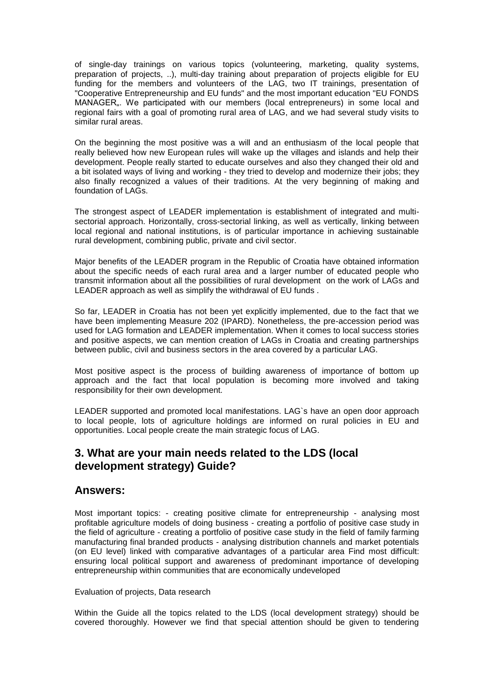of single-day trainings on various topics (volunteering, marketing, quality systems, preparation of projects, ..), multi-day training about preparation of projects eligible for EU funding for the members and volunteers of the LAG, two IT trainings, presentation of "Cooperative Entrepreneurship and EU funds" and the most important education "EU FONDS MANAGER<sub>"</sub>. We participated with our members (local entrepreneurs) in some local and regional fairs with a goal of promoting rural area of LAG, and we had several study visits to similar rural areas.

On the beginning the most positive was a will and an enthusiasm of the local people that really believed how new European rules will wake up the villages and islands and help their development. People really started to educate ourselves and also they changed their old and a bit isolated ways of living and working - they tried to develop and modernize their jobs; they also finally recognized a values of their traditions. At the very beginning of making and foundation of LAGs.

The strongest aspect of LEADER implementation is establishment of integrated and multisectorial approach. Horizontally, cross-sectorial linking, as well as vertically, linking between local regional and national institutions, is of particular importance in achieving sustainable rural development, combining public, private and civil sector.

Major benefits of the LEADER program in the Republic of Croatia have obtained information about the specific needs of each rural area and a larger number of educated people who transmit information about all the possibilities of rural development on the work of LAGs and LEADER approach as well as simplify the withdrawal of EU funds .

So far, LEADER in Croatia has not been yet explicitly implemented, due to the fact that we have been implementing Measure 202 (IPARD). Nonetheless, the pre-accession period was used for LAG formation and LEADER implementation. When it comes to local success stories and positive aspects, we can mention creation of LAGs in Croatia and creating partnerships between public, civil and business sectors in the area covered by a particular LAG.

Most positive aspect is the process of building awareness of importance of bottom up approach and the fact that local population is becoming more involved and taking responsibility for their own development.

LEADER supported and promoted local manifestations. LAG`s have an open door approach to local people, lots of agriculture holdings are informed on rural policies in EU and opportunities. Local people create the main strategic focus of LAG.

# **3. What are your main needs related to the LDS (local development strategy) Guide?**

#### **Answers:**

Most important topics: - creating positive climate for entrepreneurship - analysing most profitable agriculture models of doing business - creating a portfolio of positive case study in the field of agriculture - creating a portfolio of positive case study in the field of family farming manufacturing final branded products - analysing distribution channels and market potentials (on EU level) linked with comparative advantages of a particular area Find most difficult: ensuring local political support and awareness of predominant importance of developing entrepreneurship within communities that are economically undeveloped

#### Evaluation of projects, Data research

Within the Guide all the topics related to the LDS (local development strategy) should be covered thoroughly. However we find that special attention should be given to tendering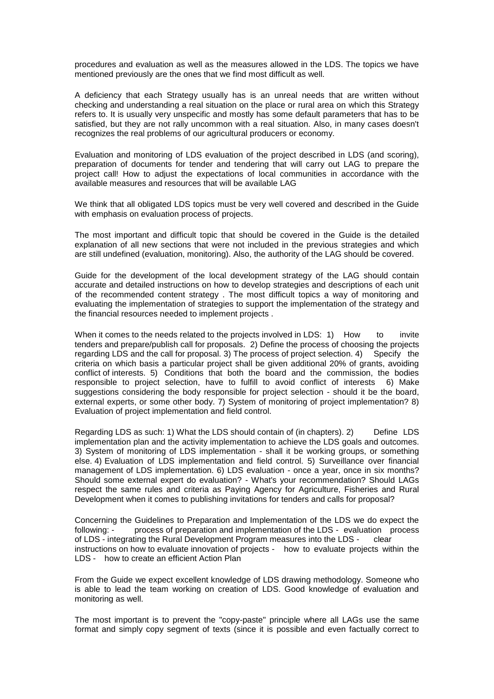procedures and evaluation as well as the measures allowed in the LDS. The topics we have mentioned previously are the ones that we find most difficult as well.

A deficiency that each Strategy usually has is an unreal needs that are written without checking and understanding a real situation on the place or rural area on which this Strategy refers to. It is usually very unspecific and mostly has some default parameters that has to be satisfied, but they are not rally uncommon with a real situation. Also, in many cases doesn't recognizes the real problems of our agricultural producers or economy.

Evaluation and monitoring of LDS evaluation of the project described in LDS (and scoring), preparation of documents for tender and tendering that will carry out LAG to prepare the project call! How to adjust the expectations of local communities in accordance with the available measures and resources that will be available LAG

We think that all obligated LDS topics must be very well covered and described in the Guide with emphasis on evaluation process of projects.

The most important and difficult topic that should be covered in the Guide is the detailed explanation of all new sections that were not included in the previous strategies and which are still undefined (evaluation, monitoring). Also, the authority of the LAG should be covered.

Guide for the development of the local development strategy of the LAG should contain accurate and detailed instructions on how to develop strategies and descriptions of each unit of the recommended content strategy . The most difficult topics a way of monitoring and evaluating the implementation of strategies to support the implementation of the strategy and the financial resources needed to implement projects .

When it comes to the needs related to the projects involved in LDS: 1) How to invite tenders and prepare/publish call for proposals. 2) Define the process of choosing the projects regarding LDS and the call for proposal. 3) The process of project selection. 4) Specify the criteria on which basis a particular project shall be given additional 20% of grants, avoiding conflict of interests. 5) Conditions that both the board and the commission, the bodies responsible to project selection, have to fulfill to avoid conflict of interests 6) Make suggestions considering the body responsible for project selection - should it be the board, external experts, or some other body. 7) System of monitoring of project implementation? 8) Evaluation of project implementation and field control.

Regarding LDS as such: 1) What the LDS should contain of (in chapters). 2) Define LDS implementation plan and the activity implementation to achieve the LDS goals and outcomes. 3) System of monitoring of LDS implementation - shall it be working groups, or something else. 4) Evaluation of LDS implementation and field control. 5) Surveillance over financial management of LDS implementation. 6) LDS evaluation - once a year, once in six months? Should some external expert do evaluation? - What's your recommendation? Should LAGs respect the same rules and criteria as Paying Agency for Agriculture, Fisheries and Rural Development when it comes to publishing invitations for tenders and calls for proposal?

Concerning the Guidelines to Preparation and Implementation of the LDS we do expect the following: - process of preparation and implementation of the LDS - evaluation process of LDS - integrating the Rural Development Program measures into the LDS - clear instructions on how to evaluate innovation of projects - how to evaluate projects within the LDS - how to create an efficient Action Plan

From the Guide we expect excellent knowledge of LDS drawing methodology. Someone who is able to lead the team working on creation of LDS. Good knowledge of evaluation and monitoring as well.

The most important is to prevent the "copy-paste" principle where all LAGs use the same format and simply copy segment of texts (since it is possible and even factually correct to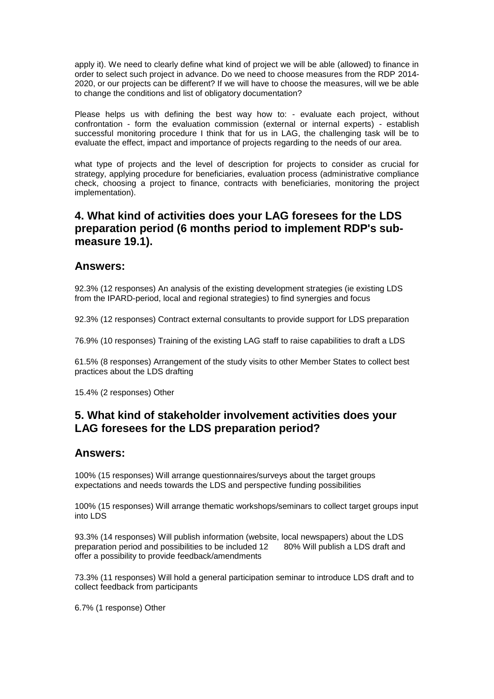apply it). We need to clearly define what kind of project we will be able (allowed) to finance in order to select such project in advance. Do we need to choose measures from the RDP 2014- 2020, or our projects can be different? If we will have to choose the measures, will we be able to change the conditions and list of obligatory documentation?

Please helps us with defining the best way how to: - evaluate each project, without confrontation - form the evaluation commission (external or internal experts) - establish successful monitoring procedure I think that for us in LAG, the challenging task will be to evaluate the effect, impact and importance of projects regarding to the needs of our area.

what type of projects and the level of description for projects to consider as crucial for strategy, applying procedure for beneficiaries, evaluation process (administrative compliance check, choosing a project to finance, contracts with beneficiaries, monitoring the project implementation).

# **4. What kind of activities does your LAG foresees for the LDS preparation period (6 months period to implement RDP's submeasure 19.1).**

#### **Answers:**

92.3% (12 responses) An analysis of the existing development strategies (ie existing LDS from the IPARD-period, local and regional strategies) to find synergies and focus

92.3% (12 responses) Contract external consultants to provide support for LDS preparation

76.9% (10 responses) Training of the existing LAG staff to raise capabilities to draft a LDS

61.5% (8 responses) Arrangement of the study visits to other Member States to collect best practices about the LDS drafting

15.4% (2 responses) Other

### **5. What kind of stakeholder involvement activities does your LAG foresees for the LDS preparation period?**

### **Answers:**

100% (15 responses) Will arrange questionnaires/surveys about the target groups expectations and needs towards the LDS and perspective funding possibilities

100% (15 responses) Will arrange thematic workshops/seminars to collect target groups input into LDS

93.3% (14 responses) Will publish information (website, local newspapers) about the LDS preparation period and possibilities to be included 12 80% Will publish a LDS draft and offer a possibility to provide feedback/amendments

73.3% (11 responses) Will hold a general participation seminar to introduce LDS draft and to collect feedback from participants

6.7% (1 response) Other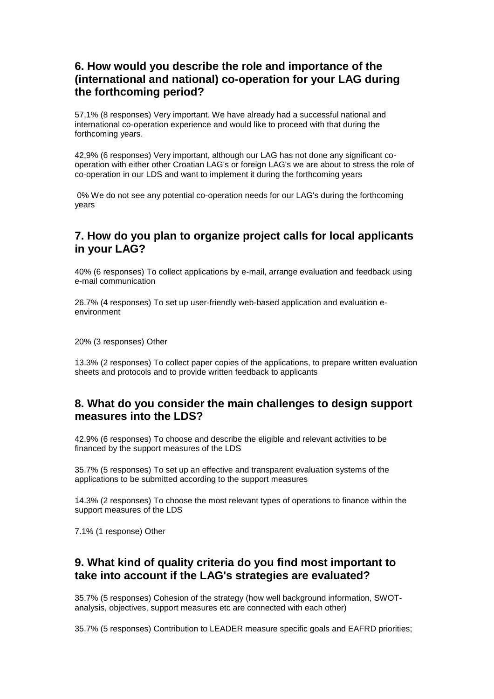# **6. How would you describe the role and importance of the (international and national) co-operation for your LAG during the forthcoming period?**

57,1% (8 responses) Very important. We have already had a successful national and international co-operation experience and would like to proceed with that during the forthcoming years.

42,9% (6 responses) Very important, although our LAG has not done any significant cooperation with either other Croatian LAG's or foreign LAG's we are about to stress the role of co-operation in our LDS and want to implement it during the forthcoming years

0% We do not see any potential co-operation needs for our LAG's during the forthcoming years

## **7. How do you plan to organize project calls for local applicants in your LAG?**

40% (6 responses) To collect applications by e-mail, arrange evaluation and feedback using e-mail communication

26.7% (4 responses) To set up user-friendly web-based application and evaluation eenvironment

20% (3 responses) Other

13.3% (2 responses) To collect paper copies of the applications, to prepare written evaluation sheets and protocols and to provide written feedback to applicants

### **8. What do you consider the main challenges to design support measures into the LDS?**

42.9% (6 responses) To choose and describe the eligible and relevant activities to be financed by the support measures of the LDS

35.7% (5 responses) To set up an effective and transparent evaluation systems of the applications to be submitted according to the support measures

14.3% (2 responses) To choose the most relevant types of operations to finance within the support measures of the LDS

7.1% (1 response) Other

# **9. What kind of quality criteria do you find most important to take into account if the LAG's strategies are evaluated?**

35.7% (5 responses) Cohesion of the strategy (how well background information, SWOTanalysis, objectives, support measures etc are connected with each other)

35.7% (5 responses) Contribution to LEADER measure specific goals and EAFRD priorities;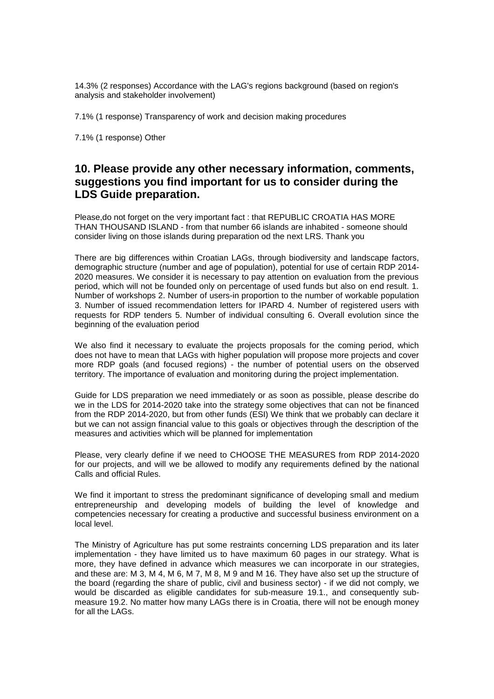14.3% (2 responses) Accordance with the LAG's regions background (based on region's analysis and stakeholder involvement)

7.1% (1 response) Transparency of work and decision making procedures

7.1% (1 response) Other

# **10. Please provide any other necessary information, comments, suggestions you find important for us to consider during the LDS Guide preparation.**

Please,do not forget on the very important fact : that REPUBLIC CROATIA HAS MORE THAN THOUSAND ISLAND - from that number 66 islands are inhabited - someone should consider living on those islands during preparation od the next LRS. Thank you

There are big differences within Croatian LAGs, through biodiversity and landscape factors, demographic structure (number and age of population), potential for use of certain RDP 2014- 2020 measures. We consider it is necessary to pay attention on evaluation from the previous period, which will not be founded only on percentage of used funds but also on end result. 1. Number of workshops 2. Number of users-in proportion to the number of workable population 3. Number of issued recommendation letters for IPARD 4. Number of registered users with requests for RDP tenders 5. Number of individual consulting 6. Overall evolution since the beginning of the evaluation period

We also find it necessary to evaluate the projects proposals for the coming period, which does not have to mean that LAGs with higher population will propose more projects and cover more RDP goals (and focused regions) - the number of potential users on the observed territory. The importance of evaluation and monitoring during the project implementation.

Guide for LDS preparation we need immediately or as soon as possible, please describe do we in the LDS for 2014-2020 take into the strategy some objectives that can not be financed from the RDP 2014-2020, but from other funds (ESI) We think that we probably can declare it but we can not assign financial value to this goals or objectives through the description of the measures and activities which will be planned for implementation

Please, very clearly define if we need to CHOOSE THE MEASURES from RDP 2014-2020 for our projects, and will we be allowed to modify any requirements defined by the national Calls and official Rules.

We find it important to stress the predominant significance of developing small and medium entrepreneurship and developing models of building the level of knowledge and competencies necessary for creating a productive and successful business environment on a local level.

The Ministry of Agriculture has put some restraints concerning LDS preparation and its later implementation - they have limited us to have maximum 60 pages in our strategy. What is more, they have defined in advance which measures we can incorporate in our strategies, and these are: M 3, M 4, M 6, M 7, M 8, M 9 and M 16. They have also set up the structure of the board (regarding the share of public, civil and business sector) - if we did not comply, we would be discarded as eligible candidates for sub-measure 19.1., and consequently submeasure 19.2. No matter how many LAGs there is in Croatia, there will not be enough money for all the LAGs.